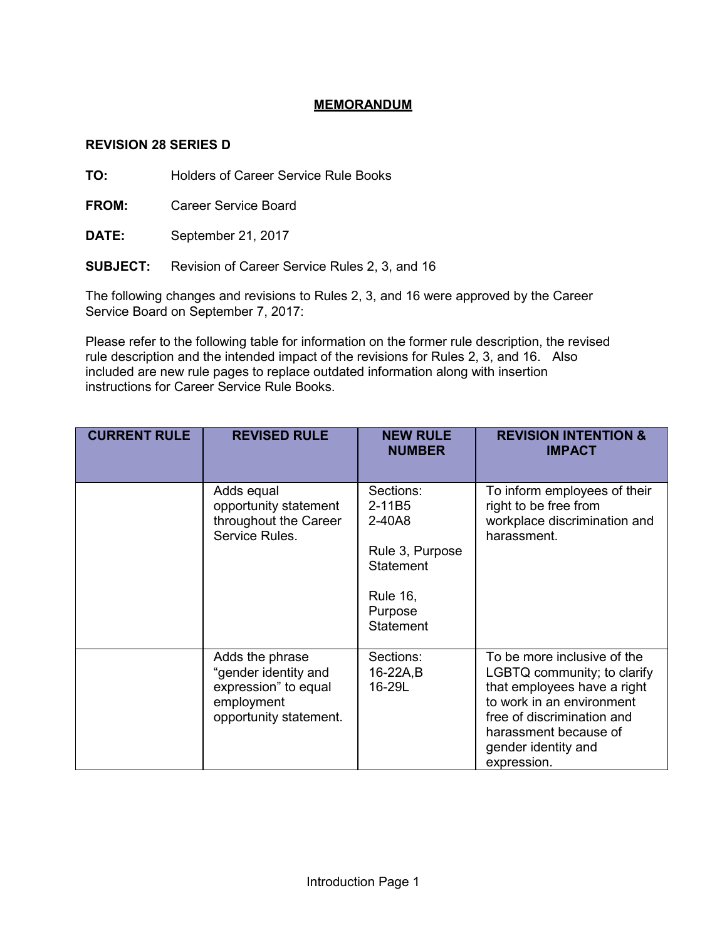# **MEMORANDUM**

## **REVISION 28 SERIES D**

**TO:** Holders of Career Service Rule Books

**FROM:** Career Service Board

**DATE:** September 21, 2017

**SUBJECT:** Revision of Career Service Rules 2, 3, and 16

The following changes and revisions to Rules 2, 3, and 16 were approved by the Career Service Board on September 7, 2017:

Please refer to the following table for information on the former rule description, the revised rule description and the intended impact of the revisions for Rules 2, 3, and 16. Also included are new rule pages to replace outdated information along with insertion instructions for Career Service Rule Books.

| <b>CURRENT RULE</b> | <b>REVISED RULE</b>                                                                                     | <b>NEW RULE</b><br><b>NUMBER</b>                                                                                       | <b>REVISION INTENTION &amp;</b><br><b>IMPACT</b>                                                                                                                                                                    |
|---------------------|---------------------------------------------------------------------------------------------------------|------------------------------------------------------------------------------------------------------------------------|---------------------------------------------------------------------------------------------------------------------------------------------------------------------------------------------------------------------|
|                     | Adds equal<br>opportunity statement<br>throughout the Career<br>Service Rules.                          | Sections:<br>2-11B5<br>2-40A8<br>Rule 3, Purpose<br><b>Statement</b><br><b>Rule 16,</b><br>Purpose<br><b>Statement</b> | To inform employees of their<br>right to be free from<br>workplace discrimination and<br>harassment.                                                                                                                |
|                     | Adds the phrase<br>"gender identity and<br>expression" to equal<br>employment<br>opportunity statement. | Sections:<br>16-22A,B<br>16-29L                                                                                        | To be more inclusive of the<br>LGBTQ community; to clarify<br>that employees have a right<br>to work in an environment<br>free of discrimination and<br>harassment because of<br>gender identity and<br>expression. |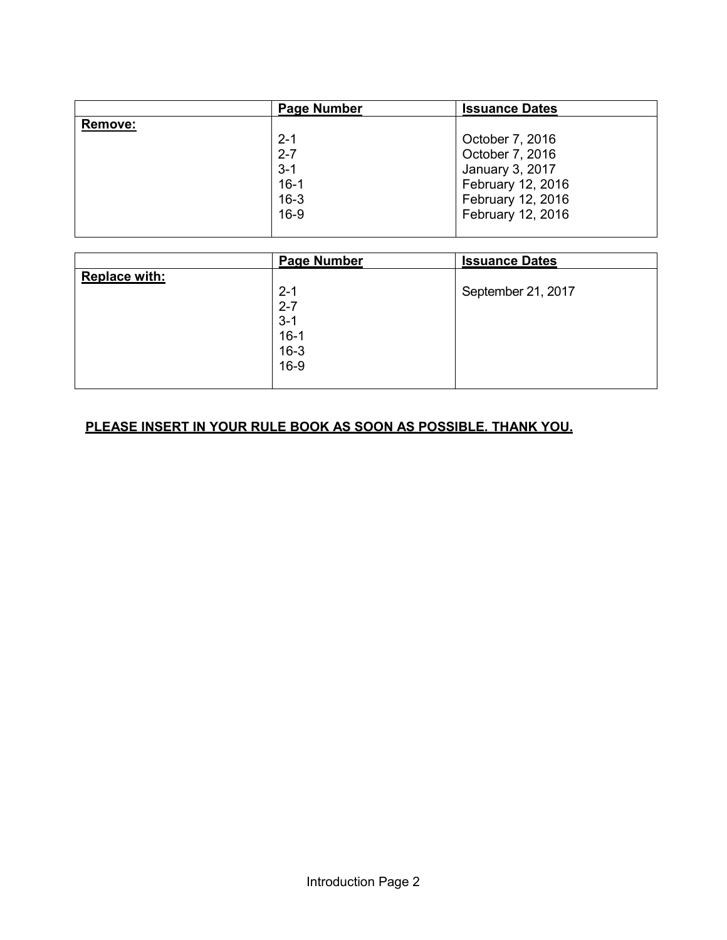|         | <b>Page Number</b> | <b>Issuance Dates</b> |
|---------|--------------------|-----------------------|
| Remove: |                    |                       |
|         | $2 - 1$            | October 7, 2016       |
|         | $2 - 7$            | October 7, 2016       |
|         | $3 - 1$            | January 3, 2017       |
|         | $16 - 1$           | February 12, 2016     |
|         | $16 - 3$           | February 12, 2016     |
|         | $16-9$             | February 12, 2016     |
|         |                    |                       |

|                      | <b>Page Number</b> | <b>Issuance Dates</b> |
|----------------------|--------------------|-----------------------|
| <b>Replace with:</b> |                    |                       |
|                      | $2 - 1$            | September 21, 2017    |
|                      | $2 - 7$            |                       |
|                      | $3 - 1$            |                       |
|                      | $16-1$             |                       |
|                      |                    |                       |
|                      | 16-3<br>16-9       |                       |
|                      |                    |                       |

# **PLEASE INSERT IN YOUR RULE BOOK AS SOON AS POSSIBLE. THANK YOU.**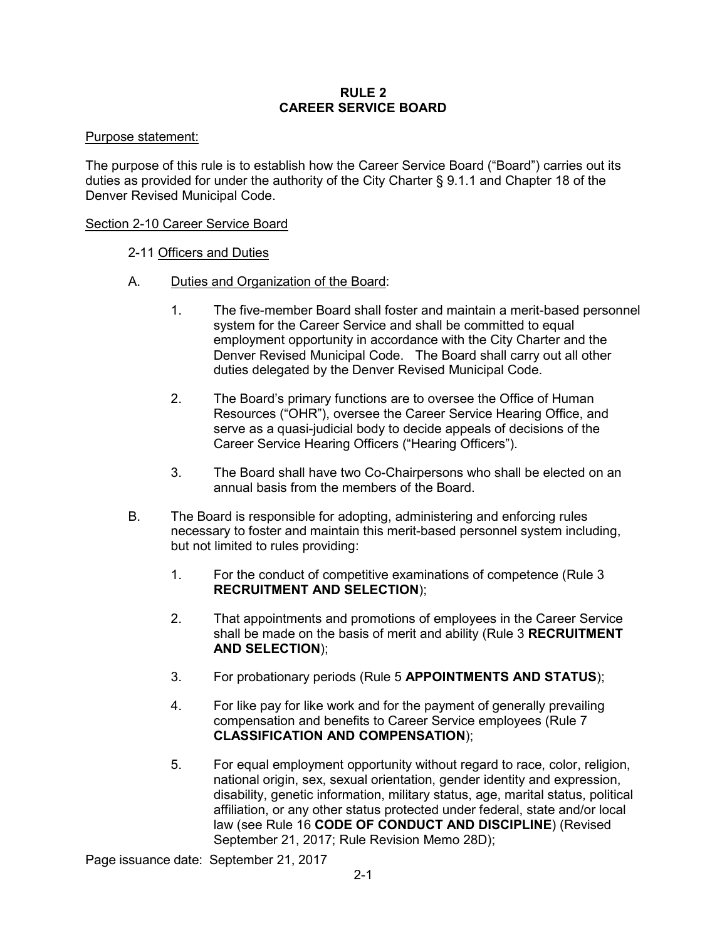### **RULE 2 CAREER SERVICE BOARD**

### Purpose statement:

The purpose of this rule is to establish how the Career Service Board ("Board") carries out its duties as provided for under the authority of the City Charter § 9.1.1 and Chapter 18 of the Denver Revised Municipal Code.

### Section 2-10 Career Service Board

- 2-11 Officers and Duties
- A. Duties and Organization of the Board:
	- 1. The five-member Board shall foster and maintain a merit-based personnel system for the Career Service and shall be committed to equal employment opportunity in accordance with the City Charter and the Denver Revised Municipal Code. The Board shall carry out all other duties delegated by the Denver Revised Municipal Code.
	- 2. The Board's primary functions are to oversee the Office of Human Resources ("OHR"), oversee the Career Service Hearing Office, and serve as a quasi-judicial body to decide appeals of decisions of the Career Service Hearing Officers ("Hearing Officers").
	- 3. The Board shall have two Co-Chairpersons who shall be elected on an annual basis from the members of the Board.
- B. The Board is responsible for adopting, administering and enforcing rules necessary to foster and maintain this merit-based personnel system including, but not limited to rules providing:
	- 1. For the conduct of competitive examinations of competence (Rule 3 **RECRUITMENT AND SELECTION**);
	- 2. That appointments and promotions of employees in the Career Service shall be made on the basis of merit and ability (Rule 3 **RECRUITMENT AND SELECTION**);
	- 3. For probationary periods (Rule 5 **APPOINTMENTS AND STATUS**);
	- 4. For like pay for like work and for the payment of generally prevailing compensation and benefits to Career Service employees (Rule 7 **CLASSIFICATION AND COMPENSATION**);
	- 5. For equal employment opportunity without regard to race, color, religion, national origin, sex, sexual orientation, gender identity and expression, disability, genetic information, military status, age, marital status, political affiliation, or any other status protected under federal, state and/or local law (see Rule 16 **CODE OF CONDUCT AND DISCIPLINE**) (Revised September 21, 2017; Rule Revision Memo 28D);

Page issuance date: September 21, 2017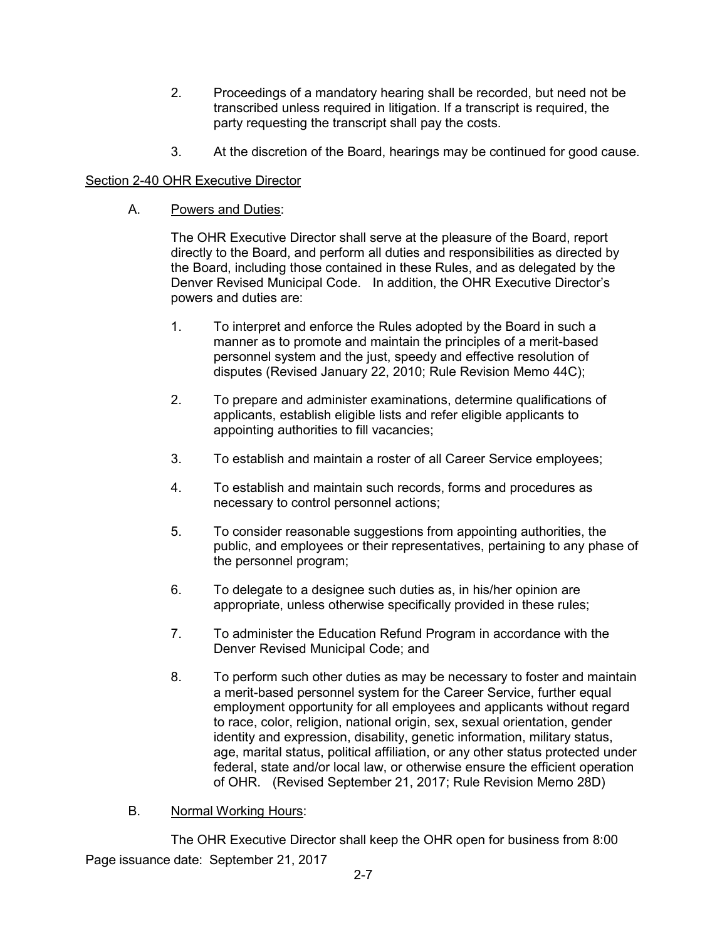- 2. Proceedings of a mandatory hearing shall be recorded, but need not be transcribed unless required in litigation. If a transcript is required, the party requesting the transcript shall pay the costs.
- 3. At the discretion of the Board, hearings may be continued for good cause.

# Section 2-40 OHR Executive Director

A. Powers and Duties:

The OHR Executive Director shall serve at the pleasure of the Board, report directly to the Board, and perform all duties and responsibilities as directed by the Board, including those contained in these Rules, and as delegated by the Denver Revised Municipal Code. In addition, the OHR Executive Director's powers and duties are:

- 1. To interpret and enforce the Rules adopted by the Board in such a manner as to promote and maintain the principles of a merit-based personnel system and the just, speedy and effective resolution of disputes (Revised January 22, 2010; Rule Revision Memo 44C);
- 2. To prepare and administer examinations, determine qualifications of applicants, establish eligible lists and refer eligible applicants to appointing authorities to fill vacancies;
- 3. To establish and maintain a roster of all Career Service employees;
- 4. To establish and maintain such records, forms and procedures as necessary to control personnel actions;
- 5. To consider reasonable suggestions from appointing authorities, the public, and employees or their representatives, pertaining to any phase of the personnel program;
- 6. To delegate to a designee such duties as, in his/her opinion are appropriate, unless otherwise specifically provided in these rules;
- 7. To administer the Education Refund Program in accordance with the Denver Revised Municipal Code; and
- 8. To perform such other duties as may be necessary to foster and maintain a merit-based personnel system for the Career Service, further equal employment opportunity for all employees and applicants without regard to race, color, religion, national origin, sex, sexual orientation, gender identity and expression, disability, genetic information, military status, age, marital status, political affiliation, or any other status protected under federal, state and/or local law, or otherwise ensure the efficient operation of OHR. (Revised September 21, 2017; Rule Revision Memo 28D)
- B. Normal Working Hours:

Page issuance date: September 21, 2017 The OHR Executive Director shall keep the OHR open for business from 8:00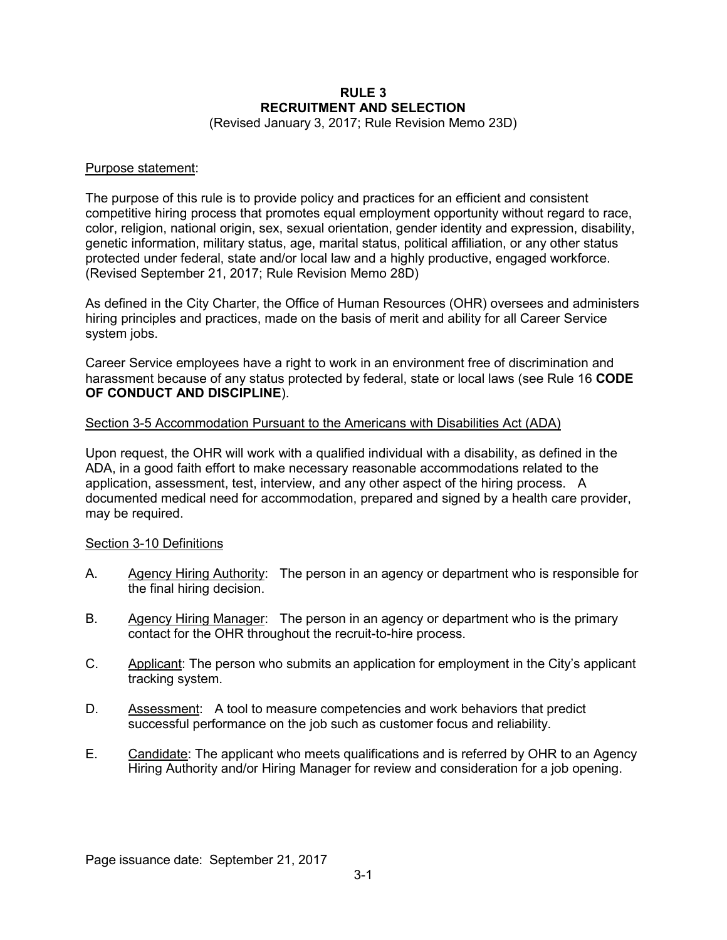# **RULE 3 RECRUITMENT AND SELECTION**

(Revised January 3, 2017; Rule Revision Memo 23D)

#### Purpose statement:

The purpose of this rule is to provide policy and practices for an efficient and consistent competitive hiring process that promotes equal employment opportunity without regard to race, color, religion, national origin, sex, sexual orientation, gender identity and expression, disability, genetic information, military status, age, marital status, political affiliation, or any other status protected under federal, state and/or local law and a highly productive, engaged workforce. (Revised September 21, 2017; Rule Revision Memo 28D)

As defined in the City Charter, the Office of Human Resources (OHR) oversees and administers hiring principles and practices, made on the basis of merit and ability for all Career Service system jobs.

Career Service employees have a right to work in an environment free of discrimination and harassment because of any status protected by federal, state or local laws (see Rule 16 **CODE OF CONDUCT AND DISCIPLINE**).

#### Section 3-5 Accommodation Pursuant to the Americans with Disabilities Act (ADA)

Upon request, the OHR will work with a qualified individual with a disability, as defined in the ADA, in a good faith effort to make necessary reasonable accommodations related to the application, assessment, test, interview, and any other aspect of the hiring process. A documented medical need for accommodation, prepared and signed by a health care provider, may be required.

## Section 3-10 Definitions

- A. Agency Hiring Authority: The person in an agency or department who is responsible for the final hiring decision.
- B. Agency Hiring Manager: The person in an agency or department who is the primary contact for the OHR throughout the recruit-to-hire process.
- C. Applicant: The person who submits an application for employment in the City's applicant tracking system.
- D. Assessment: A tool to measure competencies and work behaviors that predict successful performance on the job such as customer focus and reliability.
- E. Candidate: The applicant who meets qualifications and is referred by OHR to an Agency Hiring Authority and/or Hiring Manager for review and consideration for a job opening.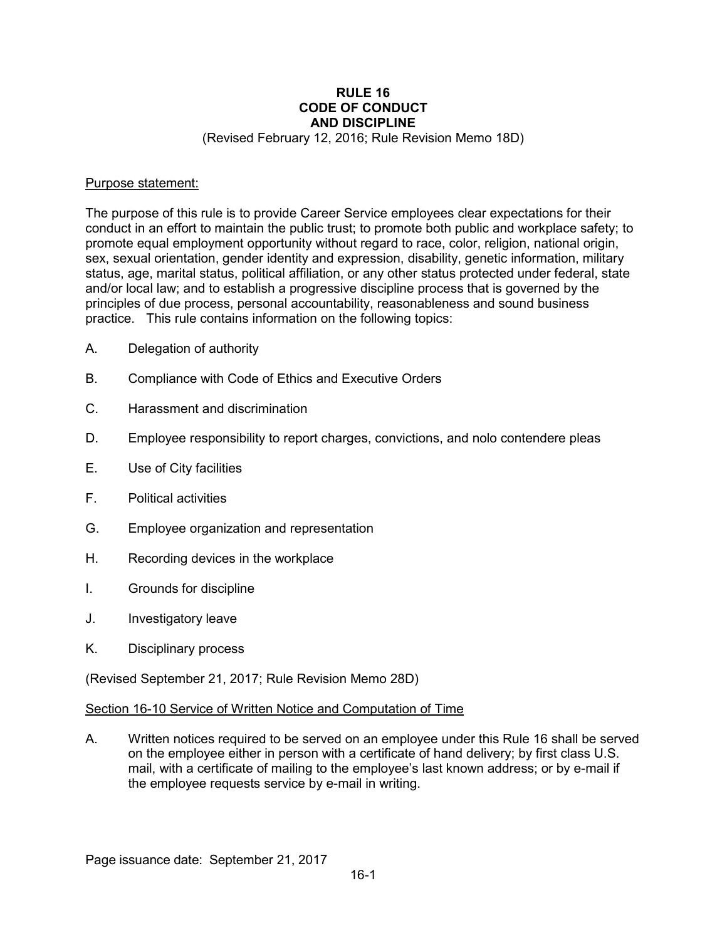# **RULE 16 CODE OF CONDUCT AND DISCIPLINE**

(Revised February 12, 2016; Rule Revision Memo 18D)

#### Purpose statement:

The purpose of this rule is to provide Career Service employees clear expectations for their conduct in an effort to maintain the public trust; to promote both public and workplace safety; to promote equal employment opportunity without regard to race, color, religion, national origin, sex, sexual orientation, gender identity and expression, disability, genetic information, military status, age, marital status, political affiliation, or any other status protected under federal, state and/or local law; and to establish a progressive discipline process that is governed by the principles of due process, personal accountability, reasonableness and sound business practice. This rule contains information on the following topics:

- A. Delegation of authority
- B. Compliance with Code of Ethics and Executive Orders
- C. Harassment and discrimination
- D. Employee responsibility to report charges, convictions, and nolo contendere pleas
- E. Use of City facilities
- F. Political activities
- G. Employee organization and representation
- H. Recording devices in the workplace
- I. Grounds for discipline
- J. Investigatory leave
- K. Disciplinary process

(Revised September 21, 2017; Rule Revision Memo 28D)

#### Section 16-10 Service of Written Notice and Computation of Time

A. Written notices required to be served on an employee under this Rule 16 shall be served on the employee either in person with a certificate of hand delivery; by first class U.S. mail, with a certificate of mailing to the employee's last known address; or by e-mail if the employee requests service by e-mail in writing.

Page issuance date: September 21, 2017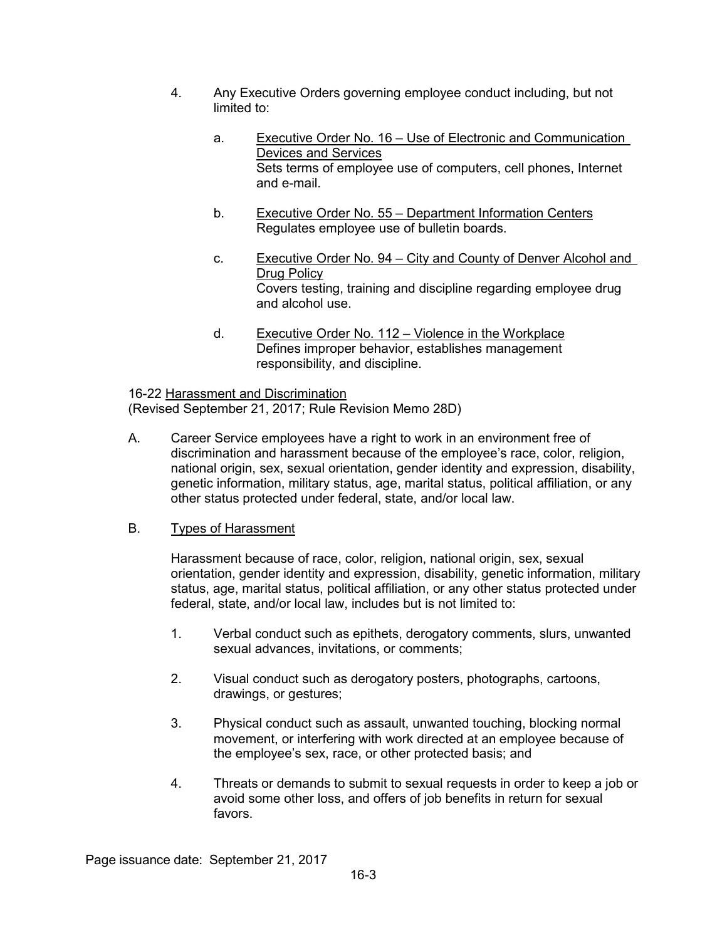- 4. Any Executive Orders governing employee conduct including, but not limited to:
	- a. Executive Order No. 16 Use of Electronic and Communication Devices and Services Sets terms of employee use of computers, cell phones, Internet and e-mail.
	- b. Executive Order No. 55 Department Information Centers Regulates employee use of bulletin boards.
	- c. Executive Order No. 94 City and County of Denver Alcohol and Drug Policy Covers testing, training and discipline regarding employee drug and alcohol use.
	- d. Executive Order No. 112 Violence in the Workplace Defines improper behavior, establishes management responsibility, and discipline.

16-22 Harassment and Discrimination (Revised September 21, 2017; Rule Revision Memo 28D)

A. Career Service employees have a right to work in an environment free of discrimination and harassment because of the employee's race, color, religion, national origin, sex, sexual orientation, gender identity and expression, disability, genetic information, military status, age, marital status, political affiliation, or any other status protected under federal, state, and/or local law.

## B. Types of Harassment

Harassment because of race, color, religion, national origin, sex, sexual orientation, gender identity and expression, disability, genetic information, military status, age, marital status, political affiliation, or any other status protected under federal, state, and/or local law, includes but is not limited to:

- 1. Verbal conduct such as epithets, derogatory comments, slurs, unwanted sexual advances, invitations, or comments;
- 2. Visual conduct such as derogatory posters, photographs, cartoons, drawings, or gestures;
- 3. Physical conduct such as assault, unwanted touching, blocking normal movement, or interfering with work directed at an employee because of the employee's sex, race, or other protected basis; and
- 4. Threats or demands to submit to sexual requests in order to keep a job or avoid some other loss, and offers of job benefits in return for sexual favors.

Page issuance date: September 21, 2017